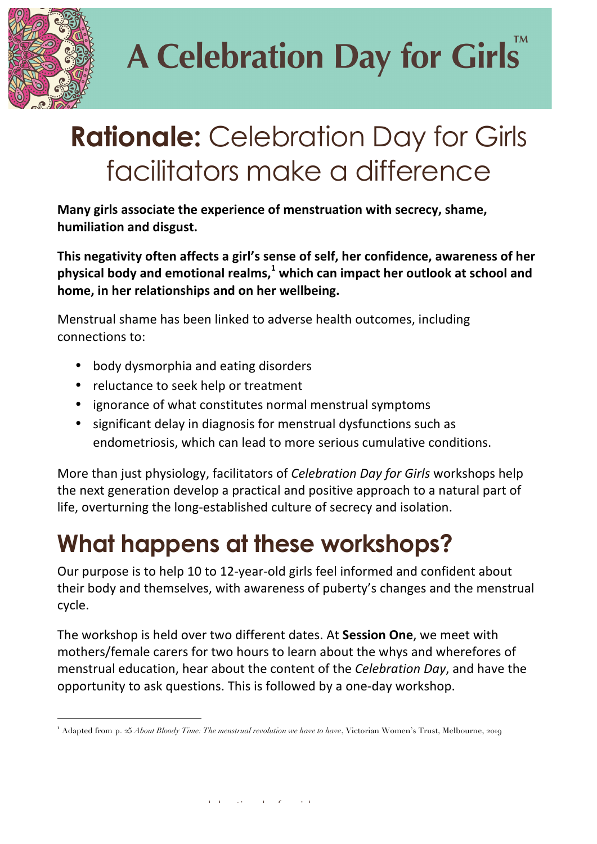

 $\overline{a}$ 

# **A Celebration Day for Girls**

### **Rationale:** Celebration Day for Girls facilitators make a difference

**Many girls associate the experience of menstruation with secrecy, shame, humiliation and disgust.**

**This negativity often affects a girl's sense of self, her confidence, awareness of her physical body and emotional realms,<sup>1</sup> which can impact her outlook at school and home, in her relationships and on her wellbeing.**

Menstrual shame has been linked to adverse health outcomes, including connections to:

- body dysmorphia and eating disorders
- reluctance to seek help or treatment
- ignorance of what constitutes normal menstrual symptoms
- significant delay in diagnosis for menstrual dysfunctions such as endometriosis, which can lead to more serious cumulative conditions.

More than just physiology, facilitators of *Celebration Day for Girls* workshops help the next generation develop a practical and positive approach to a natural part of life, overturning the long-established culture of secrecy and isolation.

#### **What happens at these workshops?**

Our purpose is to help 10 to 12-year-old girls feel informed and confident about their body and themselves, with awareness of puberty's changes and the menstrual cycle.

The workshop is held over two different dates. At **Session One**, we meet with mothers/female carers for two hours to learn about the whys and wherefores of menstrual education, hear about the content of the *Celebration Day*, and have the opportunity to ask questions. This is followed by a one-day workshop.

<sup>1</sup> Adapted from p. 25 *About Bloody Time: The menstrual revolution we have to have*, Victorian Women's Trust, Melbourne, 2019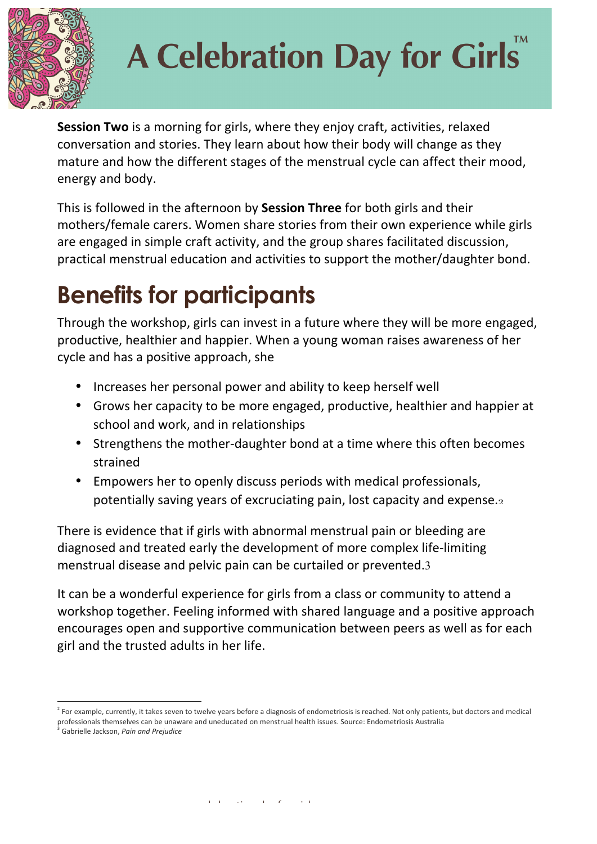

### **A Celebration Day for Girls**

**Session Two** is a morning for girls, where they enjoy craft, activities, relaxed conversation and stories. They learn about how their body will change as they mature and how the different stages of the menstrual cycle can affect their mood, energy and body.

This is followed in the afternoon by **Session Three** for both girls and their mothers/female carers. Women share stories from their own experience while girls are engaged in simple craft activity, and the group shares facilitated discussion, practical menstrual education and activities to support the mother/daughter bond.

### **Benefits for participants**

Through the workshop, girls can invest in a future where they will be more engaged, productive, healthier and happier. When a young woman raises awareness of her cycle and has a positive approach, she

- Increases her personal power and ability to keep herself well
- Grows her capacity to be more engaged, productive, healthier and happier at school and work, and in relationships
- Strengthens the mother-daughter bond at a time where this often becomes strained
- Empowers her to openly discuss periods with medical professionals, potentially saving years of excruciating pain, lost capacity and expense. $2$

There is evidence that if girls with abnormal menstrual pain or bleeding are diagnosed and treated early the development of more complex life-limiting menstrual disease and pelvic pain can be curtailed or prevented.3

It can be a wonderful experience for girls from a class or community to attend a workshop together. Feeling informed with shared language and a positive approach encourages open and supportive communication between peers as well as for each girl and the trusted adults in her life.

Gabrielle Jackson, Pain and Prejudice

<sup>&</sup>lt;sup>2</sup> For example, currently, it takes seven to twelve years before a diagnosis of endometriosis is reached. Not only patients, but doctors and medical professionals themselves can be unaware and uneducated on menstrual health issues. Source: Endometriosis Australia